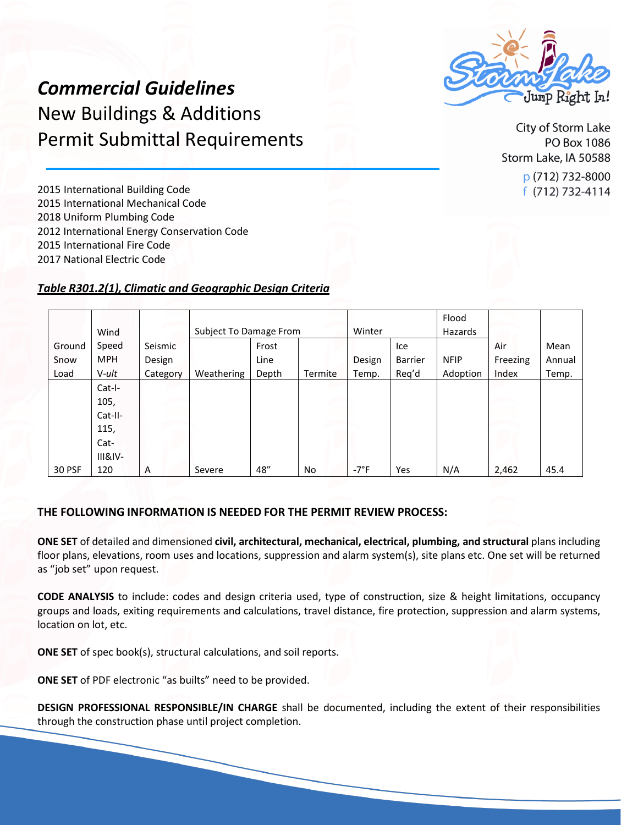

*Commercial Guidelines* New Buildings & Additions Permit Submittal Requirements

City of Storm Lake PO Box 1086 Storm Lake, IA 50588 p (712) 732-8000  $f(712)$  732-4114

 International Building Code International Mechanical Code Uniform Plumbing Code International Energy Conservation Code International Fire Code

2017 National Electric Code

## *Table R301.2(1), Climatic and Geographic Design Criteria*

|               | Wind       |          | Subject To Damage From |       |         | Winter         |                | Flood<br>Hazards |          |        |
|---------------|------------|----------|------------------------|-------|---------|----------------|----------------|------------------|----------|--------|
| Ground        | Speed      | Seismic  |                        | Frost |         |                | Ice            |                  | Air      | Mean   |
| Snow          | <b>MPH</b> | Design   |                        | Line  |         | Design         | <b>Barrier</b> | <b>NFIP</b>      | Freezing | Annual |
| Load          | V-ult      | Category | Weathering             | Depth | Termite | Temp.          | Req'd          | Adoption         | Index    | Temp.  |
|               | $Cat-I-$   |          |                        |       |         |                |                |                  |          |        |
|               | 105,       |          |                        |       |         |                |                |                  |          |        |
|               | Cat-II-    |          |                        |       |         |                |                |                  |          |        |
|               | 115,       |          |                        |       |         |                |                |                  |          |        |
|               | Cat-       |          |                        |       |         |                |                |                  |          |        |
|               | $III&IV-$  |          |                        |       |         |                |                |                  |          |        |
| <b>30 PSF</b> | 120        | A        | Severe                 | 48"   | No      | $-7^{\circ}$ F | Yes            | N/A              | 2,462    | 45.4   |

## **THE FOLLOWING INFORMATION IS NEEDED FOR THE PERMIT REVIEW PROCESS:**

**ONE SET** of detailed and dimensioned **civil, architectural, mechanical, electrical, plumbing, and structural** plans including floor plans, elevations, room uses and locations, suppression and alarm system(s), site plans etc. One set will be returned as "job set" upon request.

**CODE ANALYSIS** to include: codes and design criteria used, type of construction, size & height limitations, occupancy groups and loads, exiting requirements and calculations, travel distance, fire protection, suppression and alarm systems, location on lot, etc.

**ONE SET** of spec book(s), structural calculations, and soil reports.

**ONE SET** of PDF electronic "as builts" need to be provided.

**DESIGN PROFESSIONAL RESPONSIBLE/IN CHARGE** shall be documented, including the extent of their responsibilities through the construction phase until project completion.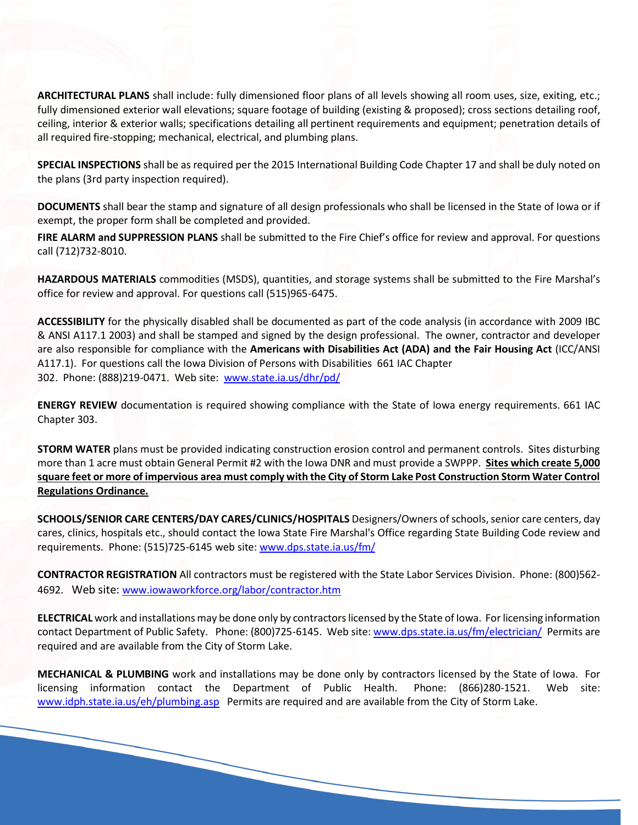**ARCHITECTURAL PLANS** shall include: fully dimensioned floor plans of all levels showing all room uses, size, exiting, etc.; fully dimensioned exterior wall elevations; square footage of building (existing & proposed); cross sections detailing roof, ceiling, interior & exterior walls; specifications detailing all pertinent requirements and equipment; penetration details of all required fire-stopping; mechanical, electrical, and plumbing plans.

**SPECIAL INSPECTIONS** shall be as required per the 2015 International Building Code Chapter 17 and shall be duly noted on the plans (3rd party inspection required).

**DOCUMENTS** shall bear the stamp and signature of all design professionals who shall be licensed in the State of Iowa or if exempt, the proper form shall be completed and provided.

**FIRE ALARM and SUPPRESSION PLANS** shall be submitted to the Fire Chief's office for review and approval. For questions call (712)732-8010.

**HAZARDOUS MATERIALS** commodities (MSDS), quantities, and storage systems shall be submitted to the Fire Marshal's office for review and approval. For questions call (515)965-6475.

**ACCESSIBILITY** for the physically disabled shall be documented as part of the code analysis (in accordance with 2009 IBC & ANSI A117.1 2003) and shall be stamped and signed by the design professional. The owner, contractor and developer are also responsible for compliance with the **Americans with Disabilities Act (ADA) and the Fair Housing Act** (ICC/ANSI A117.1). For questions call the Iowa Division of Persons with Disabilities 661 IAC Chapter 302. Phone: (888)219-0471. Web site: [www.state.ia.us/dhr/pd/](http://www.state.ia.us/dhr/pd/)

**ENERGY REVIEW** documentation is required showing compliance with the State of Iowa energy requirements. 661 IAC Chapter 303.

**STORM WATER** plans must be provided indicating construction erosion control and permanent controls. Sites disturbing more than 1 acre must obtain General Permit #2 with the Iowa DNR and must provide a SWPPP. **Sites which create 5,000 square feet or more of impervious area must comply with the City of Storm Lake Post Construction Storm Water Control Regulations Ordinance.**

**SCHOOLS/SENIOR CARE CENTERS/DAY CARES/CLINICS/HOSPITALS** Designers/Owners ofschools,senior care centers, day cares, clinics, hospitals etc., should contact the Iowa State Fire Marshal's Office regarding State Building Code review and requirements. Phone: (515)725-6145 web site: [www.dps.state.ia.us/fm/](http://www.dps.state.ia.us/fm/)

**CONTRACTOR REGISTRATION** All contractors must be registered with the State Labor Services Division. Phone: (800)562- 4692. Web site: [www.iowaworkforce.org/labor/contractor.htm](http://www.iowaworkforce.org/labor/contractor.htm)

ELECTRICAL work and installations may be done only by contractors licensed by the State of Iowa. For licensing information contact Department of Public Safety. Phone: (800)725-6145. Web site[: www.dps.state.ia.us/fm/electrician/](http://www.dps.state.ia.us/fm/electrician/) Permits are required and are available from the City of Storm Lake.

**MECHANICAL & PLUMBING** work and installations may be done only by contractors licensed by the State of Iowa. For licensing information contact the Department of Public Health. Phone: (866)280-1521. Web site: [www.idph.state.ia.us/eh/plumbing.asp P](http://www.idph.state.ia.us/eh/plumbing.asp)ermits are required and are available from the City of Storm Lake.